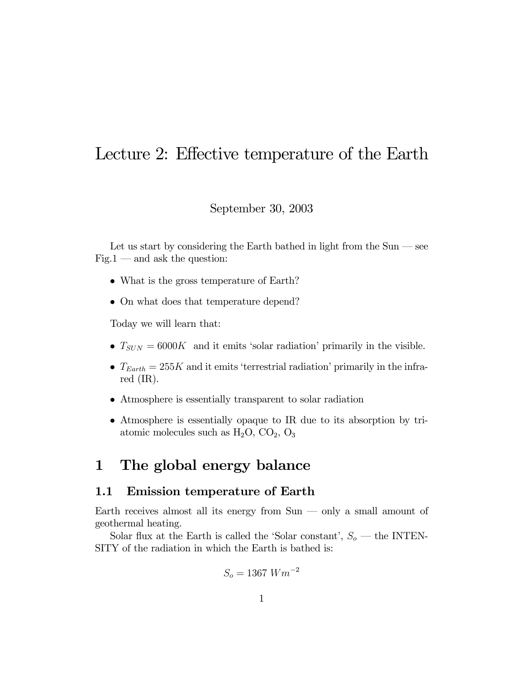## Lecture 2: Effective temperature of the Earth

September 30, 2003

Let us start by considering the Earth bathed in light from the  $Sun -$  see  $Fig.1$  — and ask the question:

- What is the gross temperature of Earth?
- On what does that temperature depend?

Today we will learn that:

- $T_{SUN} = 6000K$  and it emits 'solar radiation' primarily in the visible.
- $T_{Earth} = 255K$  and it emits 'terrestrial radiation' primarily in the infrared (IR).
- Atmosphere is essentially transparent to solar radiation
- Atmosphere is essentially opaque to IR due to its absorption by triatomic molecules such as  $H_2O$ ,  $CO_2$ ,  $O_3$

## 1 The global energy balance

## 1.1 Emission temperature of Earth

Earth receives almost all its energy from  $Sun - only$  a small amount of geothermal heating.

Solar flux at the Earth is called the 'Solar constant',  $S_o$  — the INTEN-SITY of the radiation in which the Earth is bathed is:

$$
S_o = 1367 \ Wm^{-2}
$$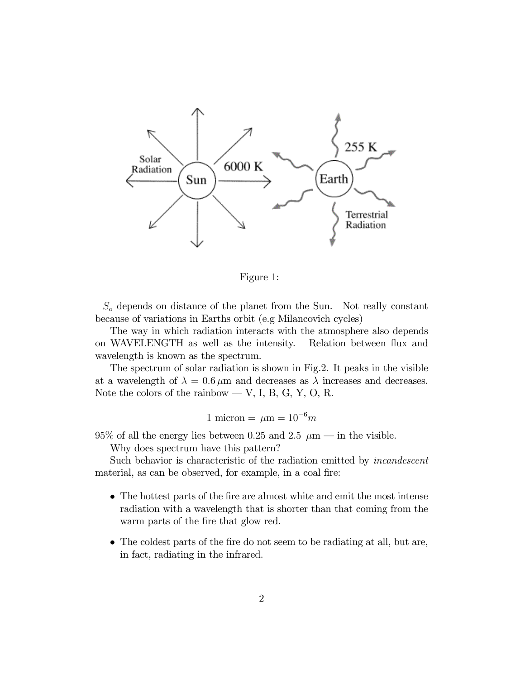

Figure 1:

 $S<sub>o</sub>$  depends on distance of the planet from the Sun. Not really constant because of variations in Earths orbit (e.g Milancovich cycles)

The way in which radiation interacts with the atmosphere also depends on WAVELENGTH as well as the intensity. Relation between flux and wavelength is known as the spectrum.

The spectrum of solar radiation is shown in Fig.2. It peaks in the visible at a wavelength of  $\lambda = 0.6 \,\mu\text{m}$  and decreases as  $\lambda$  increases and decreases. Note the colors of the rainbow — V, I, B, G, Y, O, R.

$$
1 \text{ micron} = \mu \text{m} = 10^{-6}m
$$

95% of all the energy lies between 0.25 and 2.5  $\mu$ m – in the visible.

Why does spectrum have this pattern?

Such behavior is characteristic of the radiation emitted by incandescent material, as can be observed, for example, in a coal fire:

- The hottest parts of the fire are almost white and emit the most intense radiation with a wavelength that is shorter than that coming from the warm parts of the fire that glow red.
- The coldest parts of the fire do not seem to be radiating at all, but are, in fact, radiating in the infrared.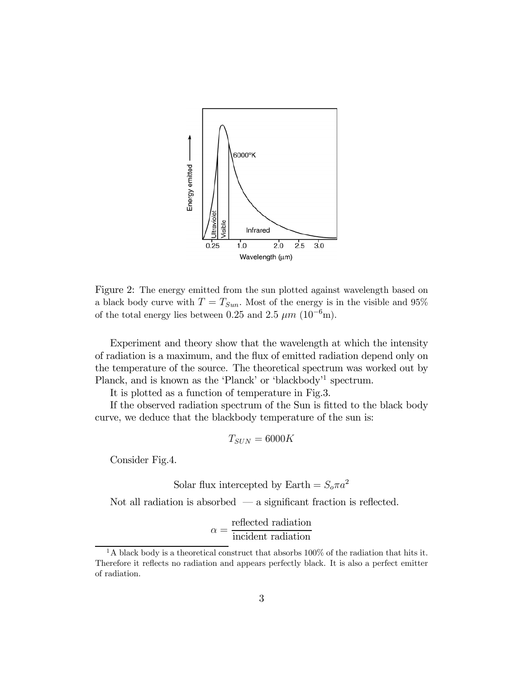

Figure 2: The energy emitted from the sun plotted against wavelength based on a black body curve with  $T = T_{Sun}$ . Most of the energy is in the visible and 95% of the total energy lies between 0.25 and 2.5  $\mu$ m (10<sup>-6</sup>m).

Experiment and theory show that the wavelength at which the intensity of radiation is a maximum, and the flux of emitted radiation depend only on the temperature of the source. The theoretical spectrum was worked out by Planck, and is known as the 'Planck' or 'blackbody'<sup>1</sup> spectrum.

It is plotted as a function of temperature in Fig.3.

If the observed radiation spectrum of the Sun is fitted to the black body curve, we deduce that the blackbody temperature of the sun is:

$$
T_{SUN} = 6000K
$$

Consider Fig.4.

Solar flux intercepted by Earth =  $S_o \pi a^2$ 

Not all radiation is absorbed  $-$  a significant fraction is reflected.

$$
\alpha = \frac{\text{reflected radiation}}{\text{incident radiation}}
$$

<sup>&</sup>lt;sup>1</sup>A black body is a theoretical construct that absorbs 100% of the radiation that hits it. Therefore it reflects no radiation and appears perfectly black. It is also a perfect emitter of radiation.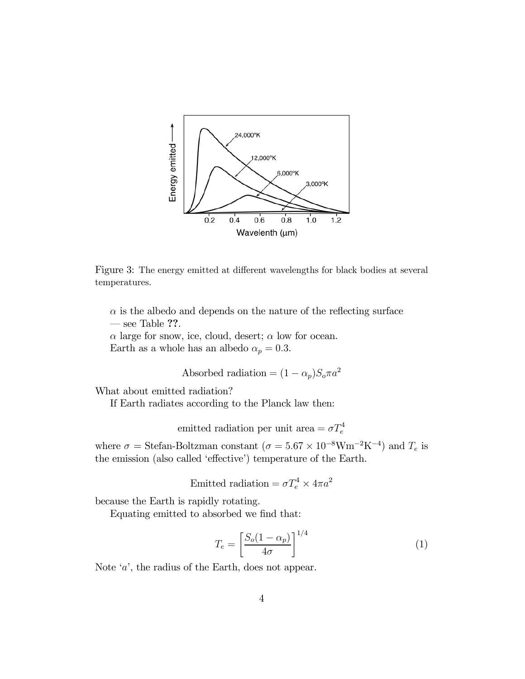

Figure 3: The energy emitted at different wavelengths for black bodies at several temperatures.

 $\alpha$  is the albedo and depends on the nature of the reflecting surface  $-$  see Table ??.

 $\alpha$  large for snow, ice, cloud, desert;  $\alpha$  low for ocean. Earth as a whole has an albedo  $\alpha_p = 0.3$ .

Absorbed radiation =  $(1 - \alpha_p)S_o \pi a^2$ 

What about emitted radiation?

If Earth radiates according to the Planck law then:

emitted radiation per unit area  $= \sigma T_e^4$ 

where  $\sigma =$  Stefan-Boltzman constant  $(\sigma = 5.67 \times 10^{-8} \text{W} \text{m}^{-2} \text{K}^{-4})$  and  $T_e$  is the emission (also called 'effective') temperature of the Earth.

Emitted radiation =  $\sigma T_e^4 \times 4\pi a^2$ 

because the Earth is rapidly rotating.

Equating emitted to absorbed we find that:

$$
T_e = \left[\frac{S_o(1 - \alpha_p)}{4\sigma}\right]^{1/4} \tag{1}
$$

Note 'a', the radius of the Earth, does not appear.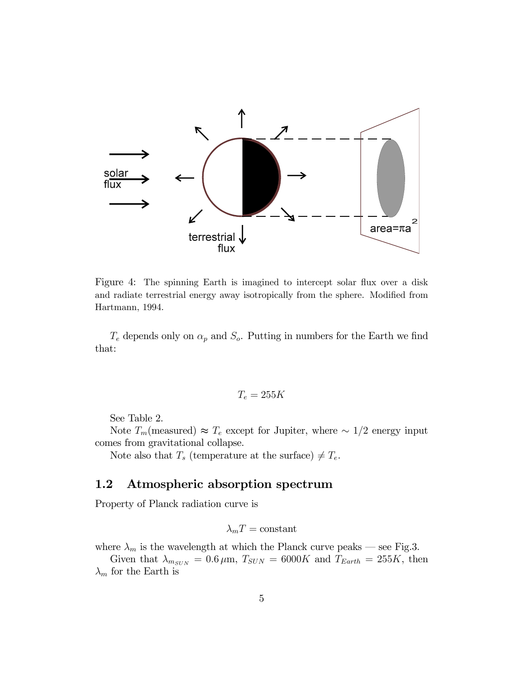

Figure 4: The spinning Earth is imagined to intercept solar flux over a disk and radiate terrestrial energy away isotropically from the sphere. Modified from Hartmann, 1994.

 $T_e$  depends only on  $\alpha_p$  and  $S_o$ . Putting in numbers for the Earth we find that:

$$
T_e=255K
$$

See Table 2.

Note  $T_m$ (measured) ≈  $T_e$  except for Jupiter, where  $\sim 1/2$  energy input comes from gravitational collapse.

Note also that  $T_s$  (temperature at the surface)  $\neq T_e$ .

## 1.2 Atmospheric absorption spectrum

Property of Planck radiation curve is

$$
\lambda_m T = \text{constant}
$$

where  $\lambda_m$  is the wavelength at which the Planck curve peaks – see Fig.3.

Given that  $\lambda_{m_{SUN}} = 0.6 \,\mu\text{m}$ ,  $T_{SUN} = 6000K$  and  $T_{Earth} = 255K$ , then  $\lambda_m$  for the Earth is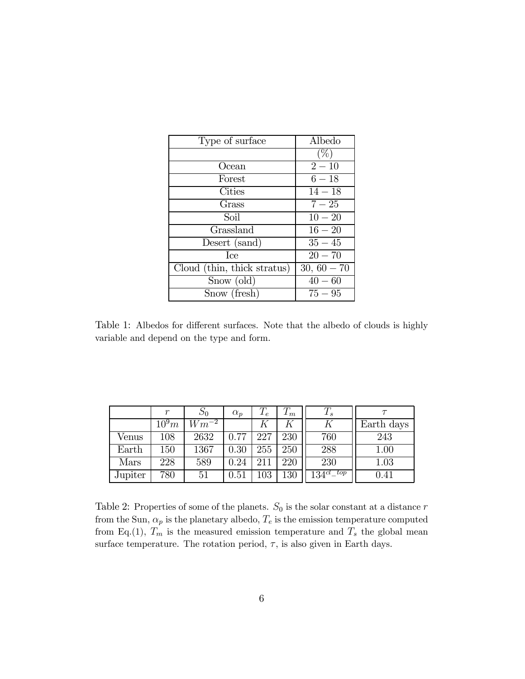| Type of surface             | Albedo        |
|-----------------------------|---------------|
|                             |               |
| Ocean                       | $2 - 10$      |
| Forest                      | $6 - 18$      |
| Cities                      | $14 - 18$     |
| Grass                       | $7 - 25$      |
| Soil                        | $10 - 20$     |
| Grassland                   | $16 - 20$     |
| Desert (sand)               | $35 - 45$     |
| <b>T</b> ce                 | $20 - 70$     |
| Cloud (thin, thick stratus) | $30, 60 - 70$ |
| Snow (old)                  | $40 - 60$     |
| Snow (fresh)                | $75 - 95$     |

Table 1: Albedos for different surfaces. Note that the albedo of clouds is highly variable and depend on the type and form.

|         | r       |           | $\alpha_p$ | $T_e\,$ | $1\,m$ | $T_s$           |            |
|---------|---------|-----------|------------|---------|--------|-----------------|------------|
|         | $10^9m$ | $Wm^{-2}$ |            |         |        |                 | Earth days |
| Venus   | 108     | 2632      | 0.77       | 227     | 230    | 760             | 243        |
| Earth   | 150     | 1367      | 0.30       | 255     | 250    | 288             | 1.00       |
| Mars    | 228     | 589       | 0.24       | 211     | 220    | 230             | 1.03       |
| Jupiter | 780     | 51        | 0.51       | $103\,$ | 130    | $134^{cl\_top}$ | 0.41       |

Table 2: Properties of some of the planets.  $S_0$  is the solar constant at a distance  $r$ from the Sun,  $\alpha_p$  is the planetary albedo,  $T_e$  is the emission temperature computed from Eq.(1),  $T_m$  is the measured emission temperature and  $T_s$  the global mean surface temperature. The rotation period,  $\tau$ , is also given in Earth days.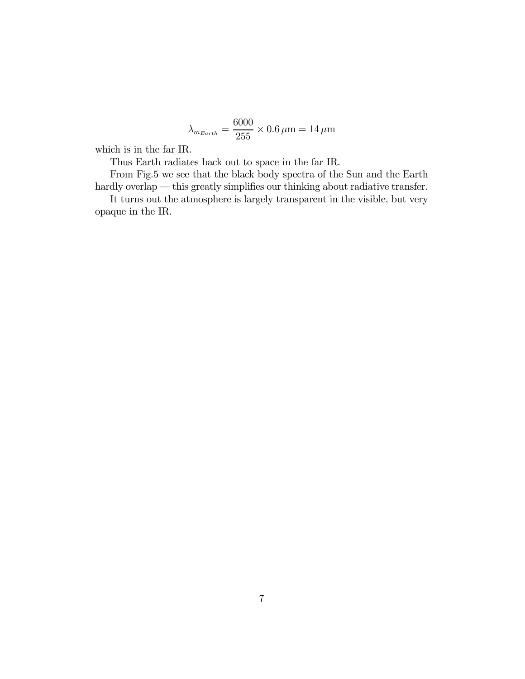$$
\lambda_{m_{Earth}} = \frac{6000}{255} \times 0.6 \,\mu\text{m} = 14 \,\mu\text{m}
$$

which is in the far IR.

Thus Earth radiates back out to space in the far IR.

From Fig.5 we see that the black body spectra of the Sun and the Earth hardly overlap — this greatly simplifies our thinking about radiative transfer.

It turns out the atmosphere is largely transparent in the visible, but very opaque in the IR.